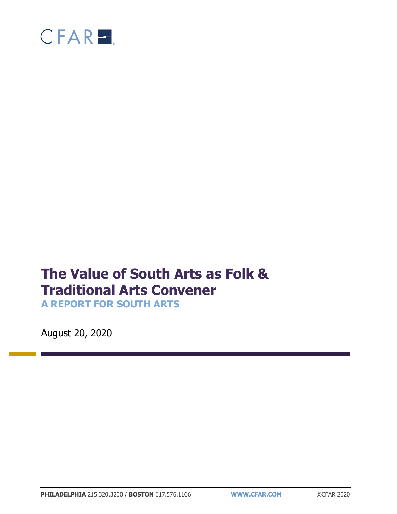

# **The Value of South Arts as Folk & Traditional Arts Convener**

**A REPORT FOR SOUTH ARTS**

August 20, 2020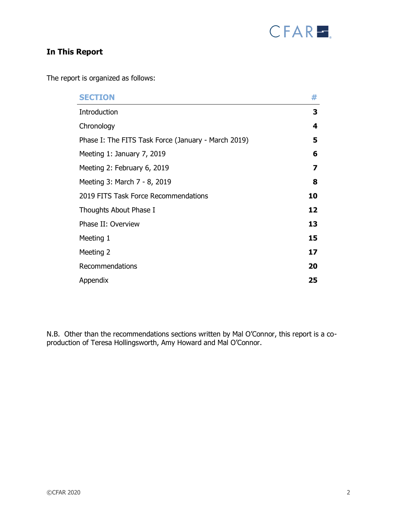

# **In This Report**

The report is organized as follows:

| <b>SECTION</b>                                      | #  |
|-----------------------------------------------------|----|
| Introduction                                        | 3  |
| Chronology                                          | 4  |
| Phase I: The FITS Task Force (January - March 2019) | 5  |
| Meeting 1: January 7, 2019                          | 6  |
| Meeting 2: February 6, 2019                         | 7  |
| Meeting 3: March 7 - 8, 2019                        | 8  |
| 2019 FITS Task Force Recommendations                | 10 |
| Thoughts About Phase I                              | 12 |
| Phase II: Overview                                  | 13 |
| Meeting 1                                           | 15 |
| Meeting 2                                           | 17 |
| Recommendations                                     | 20 |
| Appendix                                            | 25 |

N.B. Other than the recommendations sections written by Mal O'Connor, this report is a coproduction of Teresa Hollingsworth, Amy Howard and Mal O'Connor.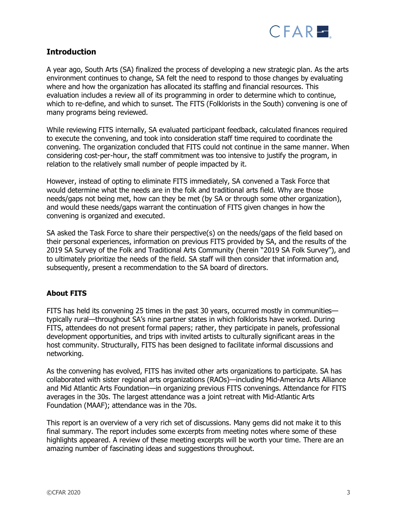

## **Introduction**

A year ago, South Arts (SA) finalized the process of developing a new strategic plan. As the arts environment continues to change, SA felt the need to respond to those changes by evaluating where and how the organization has allocated its staffing and financial resources. This evaluation includes a review all of its programming in order to determine which to continue, which to re-define, and which to sunset. The FITS (Folklorists in the South) convening is one of many programs being reviewed.

While reviewing FITS internally, SA evaluated participant feedback, calculated finances required to execute the convening, and took into consideration staff time required to coordinate the convening. The organization concluded that FITS could not continue in the same manner. When considering cost-per-hour, the staff commitment was too intensive to justify the program, in relation to the relatively small number of people impacted by it.

However, instead of opting to eliminate FITS immediately, SA convened a Task Force that would determine what the needs are in the folk and traditional arts field. Why are those needs/gaps not being met, how can they be met (by SA or through some other organization), and would these needs/gaps warrant the continuation of FITS given changes in how the convening is organized and executed.

SA asked the Task Force to share their perspective(s) on the needs/gaps of the field based on their personal experiences, information on previous FITS provided by SA, and the results of the 2019 SA Survey of the Folk and Traditional Arts Community (herein "2019 SA Folk Survey"), and to ultimately prioritize the needs of the field. SA staff will then consider that information and, subsequently, present a recommendation to the SA board of directors.

## **About FITS**

FITS has held its convening 25 times in the past 30 years, occurred mostly in communities typically rural—throughout SA's nine partner states in which folklorists have worked. During FITS, attendees do not present formal papers; rather, they participate in panels, professional development opportunities, and trips with invited artists to culturally significant areas in the host community. Structurally, FITS has been designed to facilitate informal discussions and networking.

As the convening has evolved, FITS has invited other arts organizations to participate. SA has collaborated with sister regional arts organizations (RAOs)—including Mid-America Arts Alliance and Mid Atlantic Arts Foundation—in organizing previous FITS convenings. Attendance for FITS averages in the 30s. The largest attendance was a joint retreat with Mid-Atlantic Arts Foundation (MAAF); attendance was in the 70s.

This report is an overview of a very rich set of discussions. Many gems did not make it to this final summary. The report includes some excerpts from meeting notes where some of these highlights appeared. A review of these meeting excerpts will be worth your time. There are an amazing number of fascinating ideas and suggestions throughout.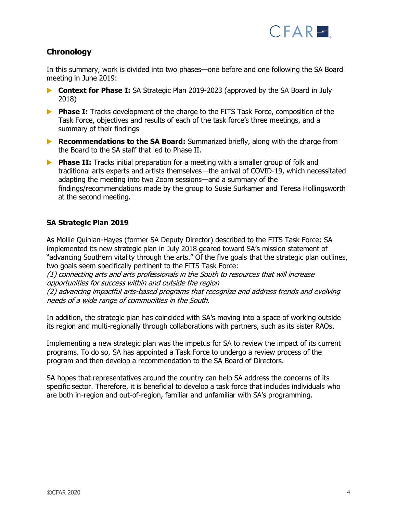

## **Chronology**

In this summary, work is divided into two phases—one before and one following the SA Board meeting in June 2019:

- **Context for Phase I:** SA Strategic Plan 2019-2023 (approved by the SA Board in July 2018)
- **Phase I:** Tracks development of the charge to the FITS Task Force, composition of the Task Force, objectives and results of each of the task force's three meetings, and a summary of their findings
- **Recommendations to the SA Board:** Summarized briefly, along with the charge from the Board to the SA staff that led to Phase II.
- **Phase II:** Tracks initial preparation for a meeting with a smaller group of folk and traditional arts experts and artists themselves—the arrival of COVID-19, which necessitated adapting the meeting into two Zoom sessions—and a summary of the findings/recommendations made by the group to Susie Surkamer and Teresa Hollingsworth at the second meeting.

## **SA Strategic Plan 2019**

As Mollie Quinlan-Hayes (former SA Deputy Director) described to the FITS Task Force: SA implemented its new [strategic plan](https://www.southarts.org/wp-content/uploads/South-Arts-Strategic-Plan-Outline-2019-23-for-distribution.pdf) in July 2018 geared toward SA's mission statement of "advancing Southern vitality through the arts." Of the five goals that the strategic plan outlines, two goals seem specifically pertinent to the FITS Task Force:

(1) connecting arts and arts professionals in the South to resources that will increase opportunities for success within and outside the region (2) advancing impactful arts-based programs that recognize and address trends and evolving

needs of a wide range of communities in the South.

In addition, the strategic plan has coincided with SA's moving into a space of working outside its region and multi-regionally through collaborations with partners, such as its sister RAOs.

Implementing a new strategic plan was the impetus for SA to review the impact of its current programs. To do so, SA has appointed a Task Force to undergo a review process of the program and then develop a recommendation to the SA Board of Directors.

SA hopes that representatives around the country can help SA address the concerns of its specific sector. Therefore, it is beneficial to develop a task force that includes individuals who are both in-region and out-of-region, familiar and unfamiliar with SA's programming.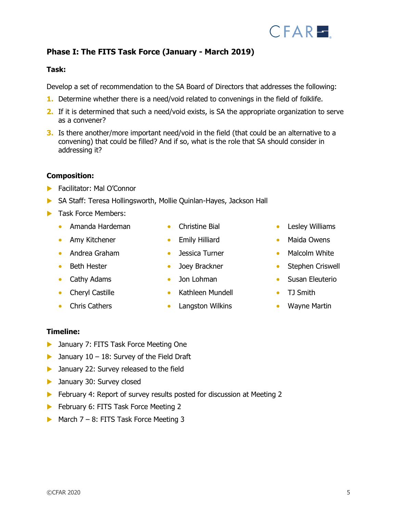# **Phase I: The FITS Task Force (January - March 2019)**

## **Task:**

Develop a set of recommendation to the SA Board of Directors that addresses the following:

- **1.** Determine whether there is a need/void related to convenings in the field of folklife.
- **2.** If it is determined that such a need/void exists, is SA the appropriate organization to serve as a convener?
- **3.** Is there another/more important need/void in the field (that could be an alternative to a convening) that could be filled? And if so, what is the role that SA should consider in addressing it?

## **Composition:**

- **Facilitator: Mal O'Connor**
- SA Staff: Teresa Hollingsworth, Mollie Quinlan-Hayes, Jackson Hall
- **Task Force Members:** 
	- Amanda Hardeman
	- Amy Kitchener
	- Andrea Graham
	- Beth Hester
	- Cathy Adams
	- Cheryl Castille
	- Chris Cathers
- Christine Bial
- Emily Hilliard
- Jessica Turner
- Joey Brackner
- Jon Lohman
- Kathleen Mundell
- Langston Wilkins
- Lesley Williams
- Maida Owens
- Malcolm White
- Stephen Criswell
- Susan Eleuterio
- TJ Smith
- Wayne Martin

## **Timeline:**

- **D** January 7: FITS Task Force Meeting One
- $\blacktriangleright$  January 10 18: Survey of the Field Draft
- **D** January 22: Survey released to the field
- **January 30: Survey closed**
- **February 4: Report of survey results posted for discussion at Meeting 2**
- February 6: FITS Task Force Meeting 2
- March  $7 8$ : FITS Task Force Meeting 3

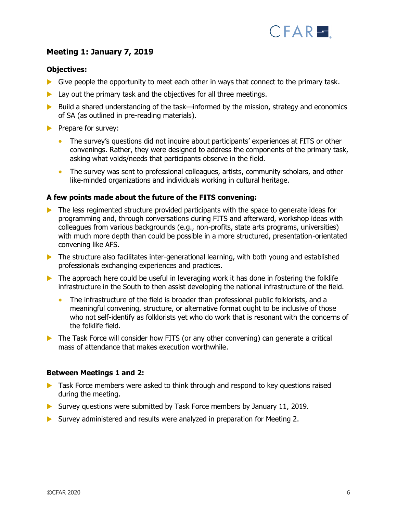

# **Meeting 1: January 7, 2019**

#### **Objectives:**

- Give people the opportunity to meet each other in ways that connect to the primary task.
- $\blacktriangleright$  Lay out the primary task and the objectives for all three meetings.
- ▶ Build a shared understanding of the task—informed by the mission, strategy and economics of SA (as outlined in pre-reading materials).
- $\blacktriangleright$  Prepare for survey:
	- The survey's questions did not inquire about participants' experiences at FITS or other convenings. Rather, they were designed to address the components of the primary task, asking what voids/needs that participants observe in the field.
	- The survey was sent to professional colleagues, artists, community scholars, and other like-minded organizations and individuals working in cultural heritage.

#### **A few points made about the future of the FITS convening:**

- $\triangleright$  The less regimented structure provided participants with the space to generate ideas for programming and, through conversations during FITS and afterward, workshop ideas with colleagues from various backgrounds (e.g., non-profits, state arts programs, universities) with much more depth than could be possible in a more structured, presentation-orientated convening like AFS.
- The structure also facilitates inter-generational learning, with both young and established professionals exchanging experiences and practices.
- $\blacktriangleright$  The approach here could be useful in leveraging work it has done in fostering the folklife infrastructure in the South to then assist developing the national infrastructure of the field.
	- The infrastructure of the field is broader than professional public folklorists, and a meaningful convening, structure, or alternative format ought to be inclusive of those who not self-identify as folklorists yet who do work that is resonant with the concerns of the folklife field.
- $\triangleright$  The Task Force will consider how FITS (or any other convening) can generate a critical mass of attendance that makes execution worthwhile.

#### **Between Meetings 1 and 2:**

- **Task Force members were asked to think through and respond to key questions raised** during the meeting.
- Survey questions were submitted by Task Force members by January 11, 2019.
- Survey administered and results were analyzed in preparation for Meeting 2.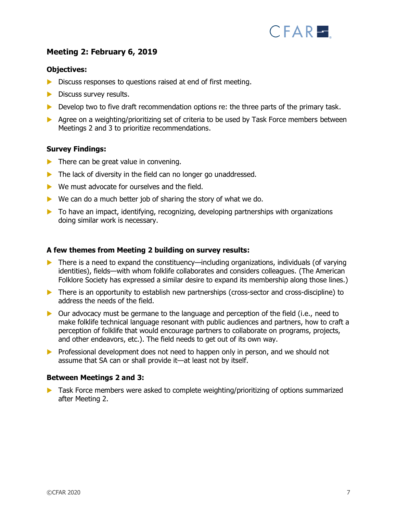

## **Meeting 2: February 6, 2019**

#### **Objectives:**

- Discuss responses to questions raised at end of first meeting.
- $\blacktriangleright$  Discuss survey results.
- Develop two to five draft recommendation options re: the three parts of the primary task.
- Agree on a weighting/prioritizing set of criteria to be used by Task Force members between Meetings 2 and 3 to prioritize recommendations.

#### **Survey Findings:**

- $\blacktriangleright$  There can be great value in convening.
- The lack of diversity in the field can no longer go unaddressed.
- ▶ We must advocate for ourselves and the field.
- $\triangleright$  We can do a much better job of sharing the story of what we do.
- $\triangleright$  To have an impact, identifying, recognizing, developing partnerships with organizations doing similar work is necessary.

#### **A few themes from Meeting 2 building on survey results:**

- $\blacktriangleright$  There is a need to expand the constituency—including organizations, individuals (of varying identities), fields—with whom folklife collaborates and considers colleagues. (The American Folklore Society has expressed a similar desire to expand its membership along those lines.)
- There is an opportunity to establish new partnerships (cross-sector and cross-discipline) to address the needs of the field.
- ▶ Our advocacy must be germane to the language and perception of the field (i.e., need to make folklife technical language resonant with public audiences and partners, how to craft a perception of folklife that would encourage partners to collaborate on programs, projects, and other endeavors, etc.). The field needs to get out of its own way.
- **Professional development does not need to happen only in person, and we should not** assume that SA can or shall provide it—at least not by itself.

#### **Between Meetings 2 and 3:**

**Task Force members were asked to complete weighting/prioritizing of options summarized** after Meeting 2.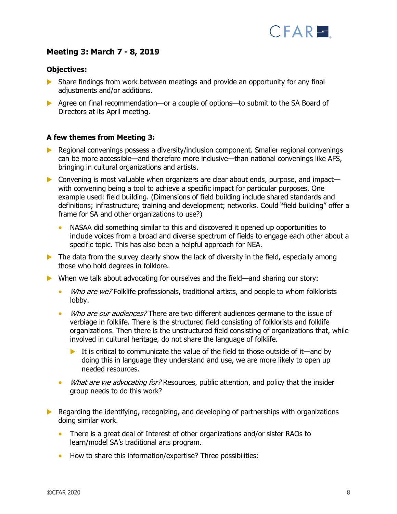

## **Meeting 3: March 7 - 8, 2019**

#### **Objectives:**

- Share findings from work between meetings and provide an opportunity for any final adjustments and/or additions.
- Agree on final recommendation—or a couple of options—to submit to the SA Board of Directors at its April meeting.

#### **A few themes from Meeting 3:**

- ▶ Regional convenings possess a diversity/inclusion component. Smaller regional convenings can be more accessible—and therefore more inclusive—than national convenings like AFS, bringing in cultural organizations and artists.
- ▶ Convening is most valuable when organizers are clear about ends, purpose, and impact with convening being a tool to achieve a specific impact for particular purposes. One example used: field building. (Dimensions of field building include shared standards and definitions; infrastructure; training and development; networks. Could "field building" offer a frame for SA and other organizations to use?)
	- NASAA did something similar to this and discovered it opened up opportunities to include voices from a broad and diverse spectrum of fields to engage each other about a specific topic. This has also been a helpful approach for NEA.
- $\blacktriangleright$  The data from the survey clearly show the lack of diversity in the field, especially among those who hold degrees in folklore.
- ▶ When we talk about advocating for ourselves and the field—and sharing our story:
	- Who are we? Folklife professionals, traditional artists, and people to whom folklorists lobby.
	- Who are our audiences? There are two different audiences germane to the issue of verbiage in folklife. There is the structured field consisting of folklorists and folklife organizations. Then there is the unstructured field consisting of organizations that, while involved in cultural heritage, do not share the language of folklife.
		- It is critical to communicate the value of the field to those outside of it—and by doing this in language they understand and use, we are more likely to open up needed resources.
	- What are we advocating for? Resources, public attention, and policy that the insider group needs to do this work?
- Regarding the identifying, recognizing, and developing of partnerships with organizations doing similar work.
	- There is a great deal of Interest of other organizations and/or sister RAOs to learn/model SA's traditional arts program.
	- How to share this information/expertise? Three possibilities: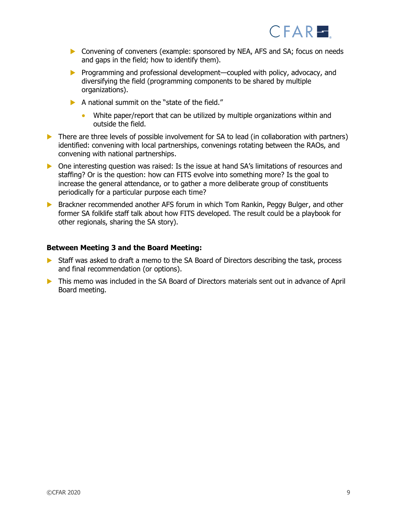

- Convening of conveners (example: sponsored by NEA, AFS and SA; focus on needs and gaps in the field; how to identify them).
- ▶ Programming and professional development—coupled with policy, advocacy, and diversifying the field (programming components to be shared by multiple organizations).
- $\blacktriangleright$  A national summit on the "state of the field."
	- White paper/report that can be utilized by multiple organizations within and outside the field.
- $\triangleright$  There are three levels of possible involvement for SA to lead (in collaboration with partners) identified: convening with local partnerships, convenings rotating between the RAOs, and convening with national partnerships.
- One interesting question was raised: Is the issue at hand SA's limitations of resources and staffing? Or is the question: how can FITS evolve into something more? Is the goal to increase the general attendance, or to gather a more deliberate group of constituents periodically for a particular purpose each time?
- Brackner recommended another AFS forum in which Tom Rankin, Peggy Bulger, and other former SA folklife staff talk about how FITS developed. The result could be a playbook for other regionals, sharing the SA story).

#### **Between Meeting 3 and the Board Meeting:**

- Staff was asked to draft a memo to the SA Board of Directors describing the task, process and final recommendation (or options).
- This memo was included in the SA Board of Directors materials sent out in advance of April Board meeting.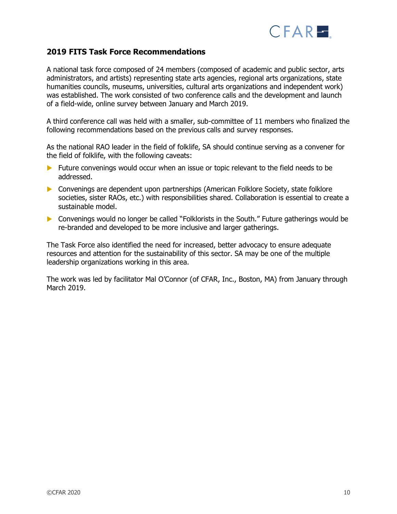

## **2019 FITS Task Force Recommendations**

A national task force composed of 24 members (composed of academic and public sector, arts administrators, and artists) representing state arts agencies, regional arts organizations, state humanities councils, museums, universities, cultural arts organizations and independent work) was established. The work consisted of two conference calls and the development and launch of a field-wide, online survey between January and March 2019.

A third conference call was held with a smaller, sub-committee of 11 members who finalized the following recommendations based on the previous calls and survey responses.

As the national RAO leader in the field of folklife, SA should continue serving as a convener for the field of folklife, with the following caveats:

- Future convenings would occur when an issue or topic relevant to the field needs to be addressed.
- **Convenings are dependent upon partnerships (American Folklore Society, state folklore** societies, sister RAOs, etc.) with responsibilities shared. Collaboration is essential to create a sustainable model.
- Convenings would no longer be called "Folklorists in the South." Future gatherings would be re-branded and developed to be more inclusive and larger gatherings.

The Task Force also identified the need for increased, better advocacy to ensure adequate resources and attention for the sustainability of this sector. SA may be one of the multiple leadership organizations working in this area.

The work was led by facilitator Mal O'Connor (of CFAR, Inc., Boston, MA) from January through March 2019.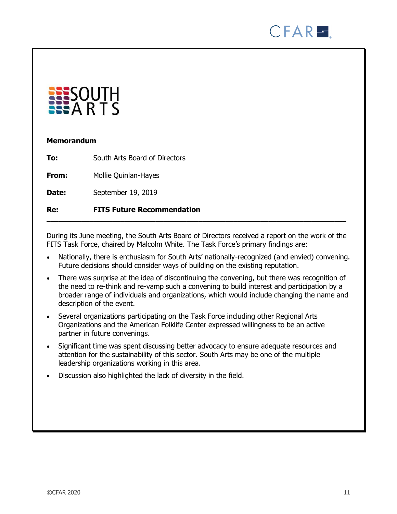



## **Memorandum**

| Re:   | <b>FITS Future Recommendation</b> |
|-------|-----------------------------------|
| Date: | September 19, 2019                |
| From: | Mollie Quinlan-Hayes              |
| To:   | South Arts Board of Directors     |

During its June meeting, the South Arts Board of Directors received a report on the work of the FITS Task Force, chaired by Malcolm White. The Task Force's primary findings are:

- Nationally, there is enthusiasm for South Arts' nationally-recognized (and envied) convening. Future decisions should consider ways of building on the existing reputation.
- There was surprise at the idea of discontinuing the convening, but there was recognition of the need to re-think and re-vamp such a convening to build interest and participation by a broader range of individuals and organizations, which would include changing the name and description of the event.
- Several organizations participating on the Task Force including other Regional Arts Organizations and the American Folklife Center expressed willingness to be an active partner in future convenings.
- Significant time was spent discussing better advocacy to ensure adequate resources and attention for the sustainability of this sector. South Arts may be one of the multiple leadership organizations working in this area.
- Discussion also highlighted the lack of diversity in the field.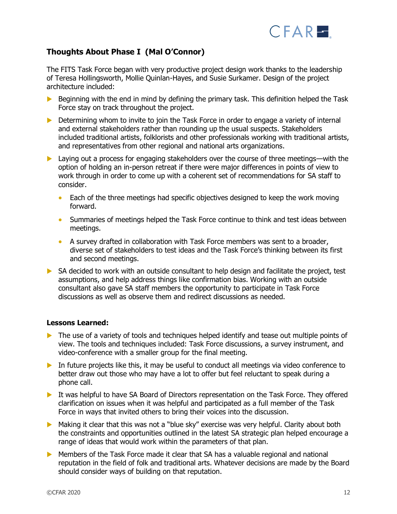

# **Thoughts About Phase I (Mal O'Connor)**

The FITS Task Force began with very productive project design work thanks to the leadership of Teresa Hollingsworth, Mollie Quinlan-Hayes, and Susie Surkamer. Design of the project architecture included:

- $\triangleright$  Beginning with the end in mind by defining the primary task. This definition helped the Task Force stay on track throughout the project.
- **Determining whom to invite to join the Task Force in order to engage a variety of internal** and external stakeholders rather than rounding up the usual suspects. Stakeholders included traditional artists, folklorists and other professionals working with traditional artists, and representatives from other regional and national arts organizations.
- ▶ Laying out a process for engaging stakeholders over the course of three meetings—with the option of holding an in-person retreat if there were major differences in points of view to work through in order to come up with a coherent set of recommendations for SA staff to consider.
	- Each of the three meetings had specific objectives designed to keep the work moving forward.
	- Summaries of meetings helped the Task Force continue to think and test ideas between meetings.
	- A survey drafted in collaboration with Task Force members was sent to a broader, diverse set of stakeholders to test ideas and the Task Force's thinking between its first and second meetings.
- $\triangleright$  SA decided to work with an outside consultant to help design and facilitate the project, test assumptions, and help address things like confirmation bias. Working with an outside consultant also gave SA staff members the opportunity to participate in Task Force discussions as well as observe them and redirect discussions as needed.

## **Lessons Learned:**

- The use of a variety of tools and techniques helped identify and tease out multiple points of view. The tools and techniques included: Task Force discussions, a survey instrument, and video-conference with a smaller group for the final meeting.
- In future projects like this, it may be useful to conduct all meetings via video conference to better draw out those who may have a lot to offer but feel reluctant to speak during a phone call.
- It was helpful to have SA Board of Directors representation on the Task Force. They offered clarification on issues when it was helpful and participated as a full member of the Task Force in ways that invited others to bring their voices into the discussion.
- Making it clear that this was not a "blue sky" exercise was very helpful. Clarity about both the constraints and opportunities outlined in the latest SA strategic plan helped encourage a range of ideas that would work within the parameters of that plan.
- Members of the Task Force made it clear that SA has a valuable regional and national reputation in the field of folk and traditional arts. Whatever decisions are made by the Board should consider ways of building on that reputation.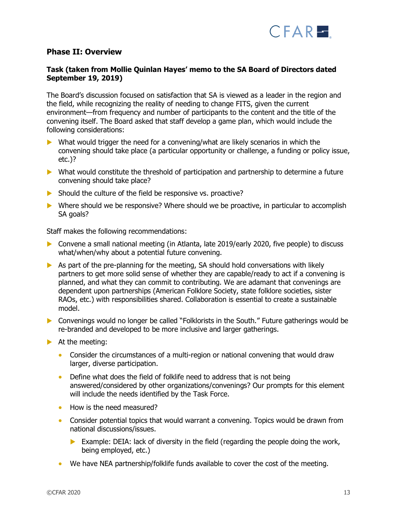

## **Phase II: Overview**

## **Task (taken from Mollie Quinlan Hayes' memo to the SA Board of Directors dated September 19, 2019)**

The Board's discussion focused on satisfaction that SA is viewed as a leader in the region and the field, while recognizing the reality of needing to change FITS, given the current environment—from frequency and number of participants to the content and the title of the convening itself. The Board asked that staff develop a game plan, which would include the following considerations:

- $\triangleright$  What would trigger the need for a convening/what are likely scenarios in which the convening should take place (a particular opportunity or challenge, a funding or policy issue, etc.)?
- What would constitute the threshold of participation and partnership to determine a future convening should take place?
- $\triangleright$  Should the culture of the field be responsive vs. proactive?
- Where should we be responsive? Where should we be proactive, in particular to accomplish SA goals?

Staff makes the following recommendations:

- Convene a small national meeting (in Atlanta, late 2019/early 2020, five people) to discuss what/when/why about a potential future convening.
- $\triangleright$  As part of the pre-planning for the meeting, SA should hold conversations with likely partners to get more solid sense of whether they are capable/ready to act if a convening is planned, and what they can commit to contributing. We are adamant that convenings are dependent upon partnerships (American Folklore Society, state folklore societies, sister RAOs, etc.) with responsibilities shared. Collaboration is essential to create a sustainable model.
- Convenings would no longer be called "Folklorists in the South." Future gatherings would be re-branded and developed to be more inclusive and larger gatherings.
- $\blacktriangleright$  At the meeting:
	- Consider the circumstances of a multi-region or national convening that would draw larger, diverse participation.
	- Define what does the field of folklife need to address that is not being answered/considered by other organizations/convenings? Our prompts for this element will include the needs identified by the Task Force.
	- How is the need measured?
	- Consider potential topics that would warrant a convening. Topics would be drawn from national discussions/issues.
		- Example: DEIA: lack of diversity in the field (regarding the people doing the work, being employed, etc.)
	- We have NEA partnership/folklife funds available to cover the cost of the meeting.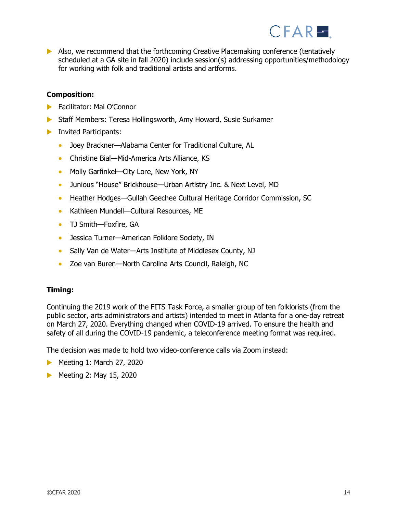

 Also, we recommend that the forthcoming Creative Placemaking conference (tentatively scheduled at a GA site in fall 2020) include session(s) addressing opportunities/methodology for working with folk and traditional artists and artforms.

#### **Composition:**

- **Facilitator: Mal O'Connor**
- Staff Members: Teresa Hollingsworth, Amy Howard, Susie Surkamer
- **Invited Participants:** 
	- Joey Brackner—Alabama Center for Traditional Culture, AL
	- Christine Bial—Mid-America Arts Alliance, KS
	- Molly Garfinkel—City Lore, New York, NY
	- Junious "House" Brickhouse—Urban Artistry Inc. & Next Level, MD
	- Heather Hodges—Gullah Geechee Cultural Heritage Corridor Commission, SC
	- Kathleen Mundell—Cultural Resources, ME
	- TJ Smith-Foxfire, GA
	- Jessica Turner—American Folklore Society, IN
	- Sally Van de Water—Arts Institute of Middlesex County, NJ
	- Zoe van Buren—North Carolina Arts Council, Raleigh, NC

#### **Timing:**

Continuing the 2019 work of the FITS Task Force, a smaller group of ten folklorists (from the public sector, arts administrators and artists) intended to meet in Atlanta for a one-day retreat on March 27, 2020. Everything changed when COVID-19 arrived. To ensure the health and safety of all during the COVID-19 pandemic, a teleconference meeting format was required.

The decision was made to hold two video-conference calls via Zoom instead:

- Meeting 1: March 27, 2020
- Meeting 2: May 15, 2020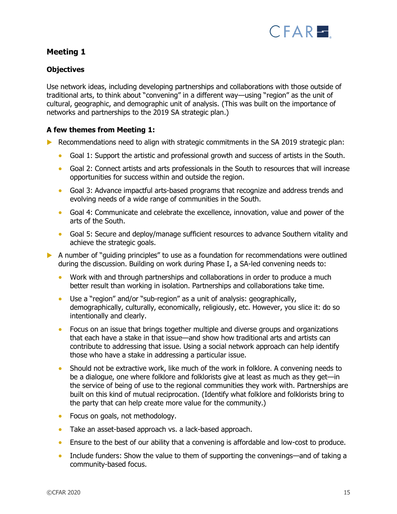

## **Meeting 1**

## **Objectives**

Use network ideas, including developing partnerships and collaborations with those outside of traditional arts, to think about "convening" in a different way—using "region" as the unit of cultural, geographic, and demographic unit of analysis. (This was built on the importance of networks and partnerships to the 2019 SA strategic plan.)

## **A few themes from Meeting 1:**

- Recommendations need to align with strategic commitments in the  $SA$  2019 strategic plan:
	- Goal 1: Support the artistic and professional growth and success of artists in the South.
	- Goal 2: Connect artists and arts professionals in the South to resources that will increase opportunities for success within and outside the region.
	- Goal 3: Advance impactful arts-based programs that recognize and address trends and evolving needs of a wide range of communities in the South.
	- Goal 4: Communicate and celebrate the excellence, innovation, value and power of the arts of the South.
	- Goal 5: Secure and deploy/manage sufficient resources to advance Southern vitality and achieve the strategic goals.
- A number of "guiding principles" to use as a foundation for recommendations were outlined during the discussion. Building on work during Phase I, a SA-led convening needs to:
	- Work with and through partnerships and collaborations in order to produce a much better result than working in isolation. Partnerships and collaborations take time.
	- Use a "region" and/or "sub-region" as a unit of analysis: geographically, demographically, culturally, economically, religiously, etc. However, you slice it: do so intentionally and clearly.
	- Focus on an issue that brings together multiple and diverse groups and organizations that each have a stake in that issue—and show how traditional arts and artists can contribute to addressing that issue. Using a social network approach can help identify those who have a stake in addressing a particular issue.
	- Should not be extractive work, like much of the work in folklore. A convening needs to be a dialogue, one where folklore and folklorists give at least as much as they get—in the service of being of use to the regional communities they work with. Partnerships are built on this kind of mutual reciprocation. (Identify what folklore and folklorists bring to the party that can help create more value for the community.)
	- Focus on goals, not methodology.
	- Take an asset-based approach vs. a lack-based approach.
	- Ensure to the best of our ability that a convening is affordable and low-cost to produce.
	- Include funders: Show the value to them of supporting the convenings—and of taking a community-based focus.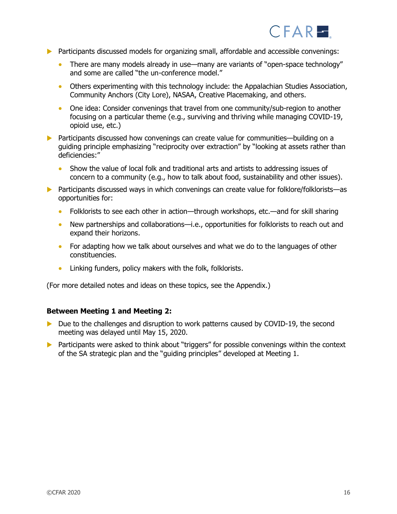

- Participants discussed models for organizing small, affordable and accessible convenings:
	- There are many models already in use—many are variants of "open-space technology" and some are called "the un-conference model."
	- Others experimenting with this technology include: the Appalachian Studies Association, Community Anchors (City Lore), NASAA, Creative Placemaking, and others.
	- One idea: Consider convenings that travel from one community/sub-region to another focusing on a particular theme (e.g., surviving and thriving while managing COVID-19, opioid use, etc.)
- ▶ Participants discussed how convenings can create value for communities—building on a guiding principle emphasizing "reciprocity over extraction" by "looking at assets rather than deficiencies:"
	- Show the value of local folk and traditional arts and artists to addressing issues of concern to a community (e.g., how to talk about food, sustainability and other issues).
- ▶ Participants discussed ways in which convenings can create value for folklore/folklorists—as opportunities for:
	- Folklorists to see each other in action—through workshops, etc.—and for skill sharing
	- New partnerships and collaborations—i.e., opportunities for folklorists to reach out and expand their horizons.
	- For adapting how we talk about ourselves and what we do to the languages of other constituencies.
	- Linking funders, policy makers with the folk, folklorists.

(For more detailed notes and ideas on these topics, see the Appendix.)

#### **Between Meeting 1 and Meeting 2:**

- Due to the challenges and disruption to work patterns caused by COVID-19, the second meeting was delayed until May 15, 2020.
- **Participants were asked to think about "triggers" for possible convenings within the context** of the SA strategic plan and the "guiding principles" developed at Meeting 1.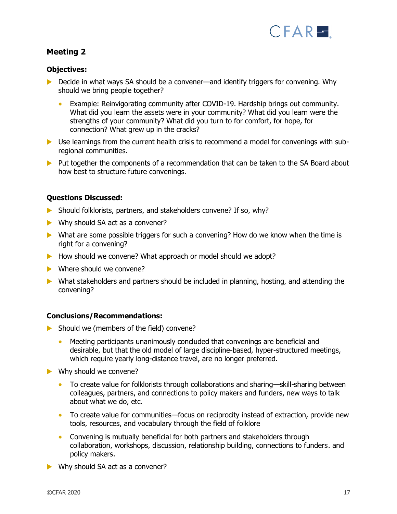

## **Meeting 2**

## **Objectives:**

- ▶ Decide in what ways SA should be a convener—and identify triggers for convening. Why should we bring people together?
	- Example: Reinvigorating community after COVID-19. Hardship brings out community. What did you learn the assets were in your community? What did you learn were the strengths of your community? What did you turn to for comfort, for hope, for connection? What grew up in the cracks?
- Use learnings from the current health crisis to recommend a model for convenings with subregional communities.
- Put together the components of a recommendation that can be taken to the SA Board about how best to structure future convenings.

#### **Questions Discussed:**

- $\triangleright$  Should folklorists, partners, and stakeholders convene? If so, why?
- Why should SA act as a convener?
- ▶ What are some possible triggers for such a convening? How do we know when the time is right for a convening?
- How should we convene? What approach or model should we adopt?
- Where should we convene?
- What stakeholders and partners should be included in planning, hosting, and attending the convening?

## **Conclusions/Recommendations:**

- Should we (members of the field) convene?
	- Meeting participants unanimously concluded that convenings are beneficial and desirable, but that the old model of large discipline-based, hyper-structured meetings, which require yearly long-distance travel, are no longer preferred.
- Why should we convene?
	- To create value for folklorists through collaborations and sharing—skill-sharing between colleagues, partners, and connections to policy makers and funders, new ways to talk about what we do, etc.
	- To create value for communities—focus on reciprocity instead of extraction, provide new tools, resources, and vocabulary through the field of folklore
	- Convening is mutually beneficial for both partners and stakeholders through collaboration, workshops, discussion, relationship building, connections to funders. and policy makers.
- Why should SA act as a convener?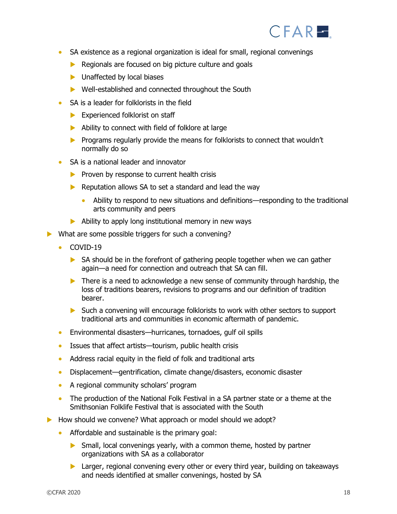

- SA existence as a regional organization is ideal for small, regional convenings
	- $\blacktriangleright$  Regionals are focused on big picture culture and goals
	- **Inaffected by local biases**
	- ▶ Well-established and connected throughout the South
- SA is a leader for folklorists in the field
	- Experienced folklorist on staff
	- Ability to connect with field of folklore at large
	- **Programs regularly provide the means for folklorists to connect that wouldn't** normally do so
- SA is a national leader and innovator
	- $\blacktriangleright$  Proven by response to current health crisis
	- Reputation allows SA to set a standard and lead the way
		- Ability to respond to new situations and definitions—responding to the traditional arts community and peers
	- $\blacktriangleright$  Ability to apply long institutional memory in new ways
- What are some possible triggers for such a convening?
	- COVID-19
		- $\triangleright$  SA should be in the forefront of gathering people together when we can gather again—a need for connection and outreach that SA can fill.
		- There is a need to acknowledge a new sense of community through hardship, the loss of traditions bearers, revisions to programs and our definition of tradition bearer.
		- Such a convening will encourage folklorists to work with other sectors to support traditional arts and communities in economic aftermath of pandemic.
	- Environmental disasters—hurricanes, tornadoes, gulf oil spills
	- Issues that affect artists—tourism, public health crisis
	- Address racial equity in the field of folk and traditional arts
	- Displacement—gentrification, climate change/disasters, economic disaster
	- A regional community scholars' program
	- The production of the National Folk Festival in a SA partner state or a theme at the Smithsonian Folklife Festival that is associated with the South
- How should we convene? What approach or model should we adopt?
	- Affordable and sustainable is the primary goal:
		- Small, local convenings yearly, with a common theme, hosted by partner organizations with SA as a collaborator
		- **Larger, regional convening every other or every third year, building on takeaways** and needs identified at smaller convenings, hosted by SA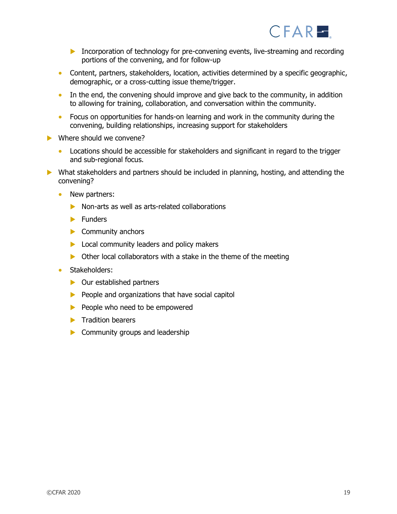

- Incorporation of technology for pre-convening events, live-streaming and recording portions of the convening, and for follow-up
- Content, partners, stakeholders, location, activities determined by a specific geographic, demographic, or a cross-cutting issue theme/trigger.
- In the end, the convening should improve and give back to the community, in addition to allowing for training, collaboration, and conversation within the community.
- Focus on opportunities for hands-on learning and work in the community during the convening, building relationships, increasing support for stakeholders
- Where should we convene?
	- Locations should be accessible for stakeholders and significant in regard to the trigger and sub-regional focus.
- What stakeholders and partners should be included in planning, hosting, and attending the convening?
	- New partners:
		- Non-arts as well as arts-related collaborations
		- $\blacktriangleright$  Funders
		- Community anchors
		- **Local community leaders and policy makers**
		- $\triangleright$  Other local collaborators with a stake in the theme of the meeting
	- Stakeholders:
		- **D** Our established partners
		- $\blacktriangleright$  People and organizations that have social capitol
		- $\blacktriangleright$  People who need to be empowered
		- $\blacktriangleright$  Tradition bearers
		- $\triangleright$  Community groups and leadership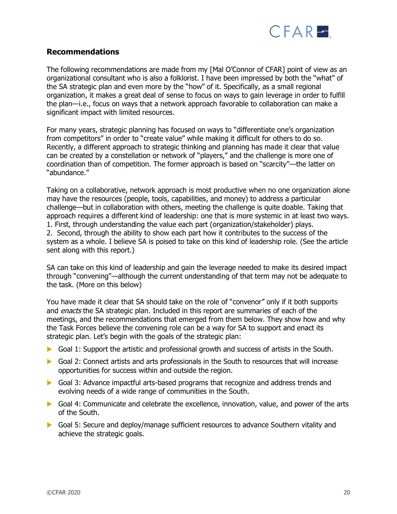

## **Recommendations**

The following recommendations are made from my [Mal O'Connor of CFAR] point of view as an organizational consultant who is also a folklorist. I have been impressed by both the "what" of the SA strategic plan and even more by the "how" of it. Specifically, as a small regional organization, it makes a great deal of sense to focus on ways to gain leverage in order to fulfill the plan—i.e., focus on ways that a network approach favorable to collaboration can make a significant impact with limited resources.

For many years, strategic planning has focused on ways to "differentiate one's organization from competitors" in order to "create value" while making it difficult for others to do so. Recently, a different approach to strategic thinking and planning has made it clear that value can be created by a constellation or network of "players," and the challenge is more one of coordination than of competition. The former approach is based on "scarcity"—the latter on "abundance."

Taking on a collaborative, network approach is most productive when no one organization alone may have the resources (people, tools, capabilities, and money) to address a particular challenge—but in collaboration with others, meeting the challenge is quite doable. Taking that approach requires a different kind of leadership: one that is more systemic in at least two ways. 1. First, through understanding the value each part (organization/stakeholder) plays. 2. Second, through the ability to show each part how it contributes to the success of the system as a whole. I believe SA is poised to take on this kind of leadership role. (See the article sent along with this report.)

SA can take on this kind of leadership and gain the leverage needed to make its desired impact through "convening"—although the current understanding of that term may not be adequate to the task. (More on this below)

You have made it clear that SA should take on the role of "convenor" only if it both supports and *enacts* the SA strategic plan. Included in this report are summaries of each of the meetings, and the recommendations that emerged from them below. They show how and why the Task Forces believe the convening role can be a way for SA to support and enact its strategic plan. Let's begin with the goals of the strategic plan:

- Goal 1: Support the artistic and professional growth and success of artists in the South.
- Goal 2: Connect artists and arts professionals in the South to resources that will increase opportunities for success within and outside the region.
- Goal 3: Advance impactful arts-based programs that recognize and address trends and evolving needs of a wide range of communities in the South.
- Goal 4: Communicate and celebrate the excellence, innovation, value, and power of the arts of the South.
- Goal 5: Secure and deploy/manage sufficient resources to advance Southern vitality and achieve the strategic goals.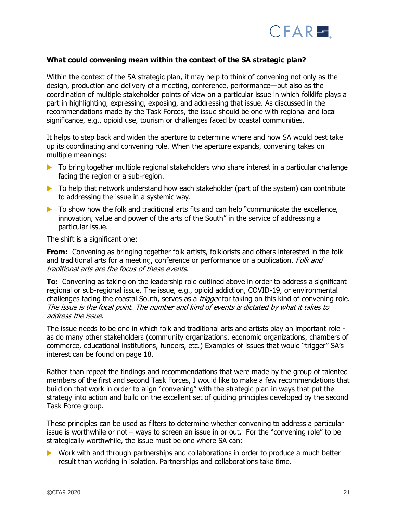

#### **What could convening mean within the context of the SA strategic plan?**

Within the context of the SA strategic plan, it may help to think of convening not only as the design, production and delivery of a meeting, conference, performance—but also as the coordination of multiple stakeholder points of view on a particular issue in which folklife plays a part in highlighting, expressing, exposing, and addressing that issue. As discussed in the recommendations made by the Task Forces, the issue should be one with regional and local significance, e.g., opioid use, tourism or challenges faced by coastal communities.

It helps to step back and widen the aperture to determine where and how SA would best take up its coordinating and convening role. When the aperture expands, convening takes on multiple meanings:

- ▶ To bring together multiple regional stakeholders who share interest in a particular challenge facing the region or a sub-region.
- $\triangleright$  To help that network understand how each stakeholder (part of the system) can contribute to addressing the issue in a systemic way.
- $\blacktriangleright$  To show how the folk and traditional arts fits and can help "communicate the excellence, innovation, value and power of the arts of the South" in the service of addressing a particular issue.

The shift is a significant one:

**From:** Convening as bringing together folk artists, folklorists and others interested in the folk and traditional arts for a meeting, conference or performance or a publication. Folk and traditional arts are the focus of these events.

**To:** Convening as taking on the leadership role outlined above in order to address a significant regional or sub-regional issue. The issue, e.g., opioid addiction, COVID-19, or environmental challenges facing the coastal South, serves as a *trigger* for taking on this kind of convening role. The issue is the focal point. The number and kind of events is dictated by what it takes to address the issue.

The issue needs to be one in which folk and traditional arts and artists play an important role as do many other stakeholders (community organizations, economic organizations, chambers of commerce, educational institutions, funders, etc.) Examples of issues that would "trigger" SA's interest can be found on page 18.

Rather than repeat the findings and recommendations that were made by the group of talented members of the first and second Task Forces, I would like to make a few recommendations that build on that work in order to align "convening" with the strategic plan in ways that put the strategy into action and build on the excellent set of guiding principles developed by the second Task Force group.

These principles can be used as filters to determine whether convening to address a particular issue is worthwhile or not – ways to screen an issue in or out. For the "convening role" to be strategically worthwhile, the issue must be one where SA can:

▶ Work with and through partnerships and collaborations in order to produce a much better result than working in isolation. Partnerships and collaborations take time.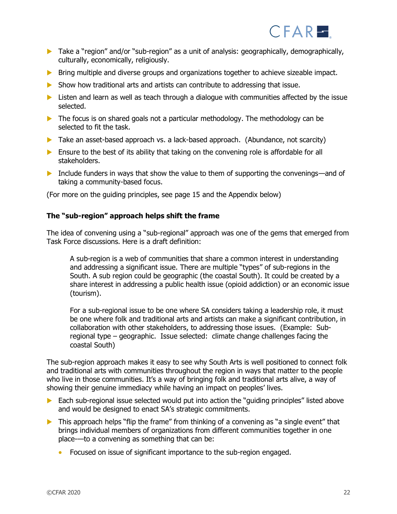

- **Take a "region" and/or "sub-region" as a unit of analysis: geographically, demographically,** culturally, economically, religiously.
- Bring multiple and diverse groups and organizations together to achieve sizeable impact.
- $\triangleright$  Show how traditional arts and artists can contribute to addressing that issue.
- $\blacktriangleright$  Listen and learn as well as teach through a dialogue with communities affected by the issue selected.
- $\triangleright$  The focus is on shared goals not a particular methodology. The methodology can be selected to fit the task.
- ▶ Take an asset-based approach vs. a lack-based approach. (Abundance, not scarcity)
- $\triangleright$  Ensure to the best of its ability that taking on the convening role is affordable for all stakeholders.
- Include funders in ways that show the value to them of supporting the convenings—and of taking a community-based focus.

(For more on the guiding principles, see page 15 and the Appendix below)

#### **The "sub-region" approach helps shift the frame**

The idea of convening using a "sub-regional" approach was one of the gems that emerged from Task Force discussions. Here is a draft definition:

A sub-region is a web of communities that share a common interest in understanding and addressing a significant issue. There are multiple "types" of sub-regions in the South. A sub region could be geographic (the coastal South). It could be created by a share interest in addressing a public health issue (opioid addiction) or an economic issue (tourism).

For a sub-regional issue to be one where SA considers taking a leadership role, it must be one where folk and traditional arts and artists can make a significant contribution, in collaboration with other stakeholders, to addressing those issues. (Example: Subregional type – geographic. Issue selected: climate change challenges facing the coastal South)

The sub-region approach makes it easy to see why South Arts is well positioned to connect folk and traditional arts with communities throughout the region in ways that matter to the people who live in those communities. It's a way of bringing folk and traditional arts alive, a way of showing their genuine immediacy while having an impact on peoples' lives.

- Each sub-regional issue selected would put into action the "guiding principles" listed above and would be designed to enact SA's strategic commitments.
- $\triangleright$  This approach helps "flip the frame" from thinking of a convening as "a single event" that brings individual members of organizations from different communities together in one place-—to a convening as something that can be:
	- Focused on issue of significant importance to the sub-region engaged.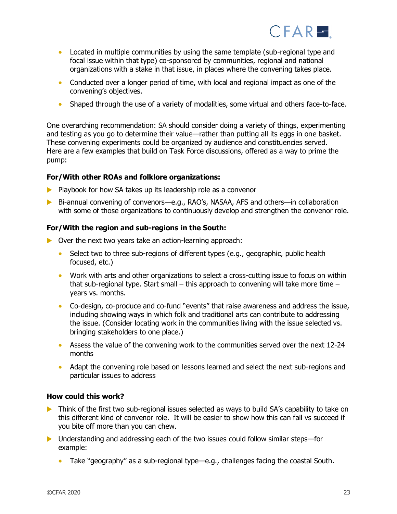

- Located in multiple communities by using the same template (sub-regional type and focal issue within that type) co-sponsored by communities, regional and national organizations with a stake in that issue, in places where the convening takes place.
- Conducted over a longer period of time, with local and regional impact as one of the convening's objectives.
- Shaped through the use of a variety of modalities, some virtual and others face-to-face.

One overarching recommendation: SA should consider doing a variety of things, experimenting and testing as you go to determine their value—rather than putting all its eggs in one basket. These convening experiments could be organized by audience and constituencies served. Here are a few examples that build on Task Force discussions, offered as a way to prime the pump:

## **For/With other ROAs and folklore organizations:**

- $\blacktriangleright$  Playbook for how SA takes up its leadership role as a convenor
- Bi-annual convening of convenors—e.g., RAO's, NASAA, AFS and others—in collaboration with some of those organizations to continuously develop and strengthen the convenor role.

#### **For/With the region and sub-regions in the South:**

- ▶ Over the next two years take an action-learning approach:
	- Select two to three sub-regions of different types (e.g., geographic, public health focused, etc.)
	- Work with arts and other organizations to select a cross-cutting issue to focus on within that sub-regional type. Start small  $-$  this approach to convening will take more time  $$ years vs. months.
	- Co-design, co-produce and co-fund "events" that raise awareness and address the issue, including showing ways in which folk and traditional arts can contribute to addressing the issue. (Consider locating work in the communities living with the issue selected vs. bringing stakeholders to one place.)
	- Assess the value of the convening work to the communities served over the next 12-24 months
	- Adapt the convening role based on lessons learned and select the next sub-regions and particular issues to address

#### **How could this work?**

- **•** Think of the first two sub-regional issues selected as ways to build SA's capability to take on this different kind of convenor role. It will be easier to show how this can fail vs succeed if you bite off more than you can chew.
- ▶ Understanding and addressing each of the two issues could follow similar steps—for example:
	- Take "geography" as a sub-regional type—e.g., challenges facing the coastal South.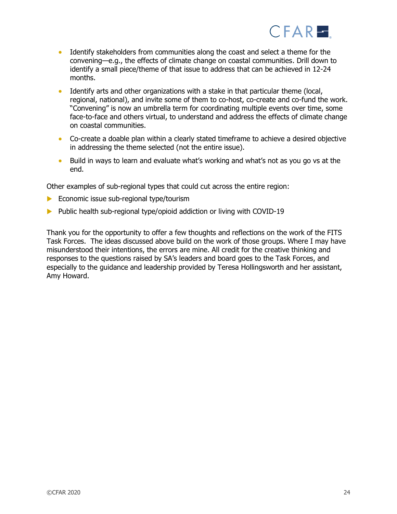

- Identify stakeholders from communities along the coast and select a theme for the convening—e.g., the effects of climate change on coastal communities. Drill down to identify a small piece/theme of that issue to address that can be achieved in 12-24 months.
- Identify arts and other organizations with a stake in that particular theme (local, regional, national), and invite some of them to co-host, co-create and co-fund the work. "Convening" is now an umbrella term for coordinating multiple events over time, some face-to-face and others virtual, to understand and address the effects of climate change on coastal communities.
- Co-create a doable plan within a clearly stated timeframe to achieve a desired objective in addressing the theme selected (not the entire issue).
- Build in ways to learn and evaluate what's working and what's not as you go vs at the end.

Other examples of sub-regional types that could cut across the entire region:

- Economic issue sub-regional type/tourism
- Public health sub-regional type/opioid addiction or living with COVID-19

Thank you for the opportunity to offer a few thoughts and reflections on the work of the FITS Task Forces. The ideas discussed above build on the work of those groups. Where I may have misunderstood their intentions, the errors are mine. All credit for the creative thinking and responses to the questions raised by SA's leaders and board goes to the Task Forces, and especially to the guidance and leadership provided by Teresa Hollingsworth and her assistant, Amy Howard.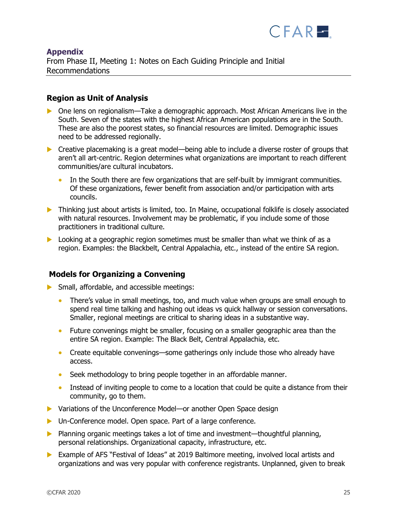

## **Appendix** From Phase II, Meeting 1: Notes on Each Guiding Principle and Initial Recommendations

## **Region as Unit of Analysis**

- One lens on regionalism—Take a demographic approach. Most African Americans live in the South. Seven of the states with the highest African American populations are in the South. These are also the poorest states, so financial resources are limited. Demographic issues need to be addressed regionally.
- ▶ Creative placemaking is a great model—being able to include a diverse roster of groups that aren't all art-centric. Region determines what organizations are important to reach different communities/are cultural incubators.
	- In the South there are few organizations that are self-built by immigrant communities. Of these organizations, fewer benefit from association and/or participation with arts councils.
- **Thinking just about artists is limited, too. In Maine, occupational folklife is closely associated** with natural resources. Involvement may be problematic, if you include some of those practitioners in traditional culture.
- $\triangleright$  Looking at a geographic region sometimes must be smaller than what we think of as a region. Examples: the Blackbelt, Central Appalachia, etc., instead of the entire SA region.

## **Models for Organizing a Convening**

- Small, affordable, and accessible meetings:
	- There's value in small meetings, too, and much value when groups are small enough to spend real time talking and hashing out ideas vs quick hallway or session conversations. Smaller, regional meetings are critical to sharing ideas in a substantive way.
	- Future convenings might be smaller, focusing on a smaller geographic area than the entire SA region. Example: The Black Belt, Central Appalachia, etc.
	- Create equitable convenings—some gatherings only include those who already have access.
	- Seek methodology to bring people together in an affordable manner.
	- Instead of inviting people to come to a location that could be quite a distance from their community, go to them.
- ▶ Variations of the Unconference Model—or another Open Space design
- Un-Conference model. Open space. Part of a large conference.
- **Planning organic meetings takes a lot of time and investment—thoughtful planning,** personal relationships. Organizational capacity, infrastructure, etc.
- Example of AFS "Festival of Ideas" at 2019 Baltimore meeting, involved local artists and organizations and was very popular with conference registrants. Unplanned, given to break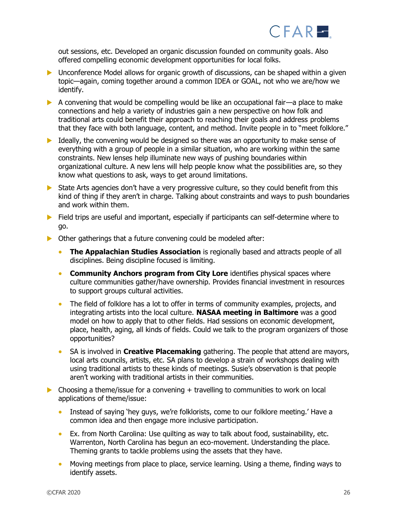

out sessions, etc. Developed an organic discussion founded on community goals. Also offered compelling economic development opportunities for local folks.

- Unconference Model allows for organic growth of discussions, can be shaped within a given topic—again, coming together around a common IDEA or GOAL, not who we are/how we identify.
- A convening that would be compelling would be like an occupational fair—a place to make connections and help a variety of industries gain a new perspective on how folk and traditional arts could benefit their approach to reaching their goals and address problems that they face with both language, content, and method. Invite people in to "meet folklore."
- $\triangleright$  Ideally, the convening would be designed so there was an opportunity to make sense of everything with a group of people in a similar situation, who are working within the same constraints. New lenses help illuminate new ways of pushing boundaries within organizational culture. A new lens will help people know what the possibilities are, so they know what questions to ask, ways to get around limitations.
- State Arts agencies don't have a very progressive culture, so they could benefit from this kind of thing if they aren't in charge. Talking about constraints and ways to push boundaries and work within them.
- $\blacktriangleright$  Field trips are useful and important, especially if participants can self-determine where to go.
- $\triangleright$  Other gatherings that a future convening could be modeled after:
	- **The Appalachian Studies Association** is regionally based and attracts people of all disciplines. Being discipline focused is limiting.
	- **Community Anchors program from City Lore** identifies physical spaces where culture communities gather/have ownership. Provides financial investment in resources to support groups cultural activities.
	- The field of folklore has a lot to offer in terms of community examples, projects, and integrating artists into the local culture. **NASAA meeting in Baltimore** was a good model on how to apply that to other fields. Had sessions on economic development, place, health, aging, all kinds of fields. Could we talk to the program organizers of those opportunities?
	- SA is involved in **Creative Placemaking** gathering. The people that attend are mayors, local arts councils, artists, etc. SA plans to develop a strain of workshops dealing with using traditional artists to these kinds of meetings. Susie's observation is that people aren't working with traditional artists in their communities.
- $\triangleright$  Choosing a theme/issue for a convening  $+$  travelling to communities to work on local applications of theme/issue:
	- Instead of saying 'hey guys, we're folklorists, come to our folklore meeting.' Have a common idea and then engage more inclusive participation.
	- Ex. from North Carolina: Use quilting as way to talk about food, sustainability, etc. Warrenton, North Carolina has begun an eco-movement. Understanding the place. Theming grants to tackle problems using the assets that they have.
	- Moving meetings from place to place, service learning. Using a theme, finding ways to identify assets.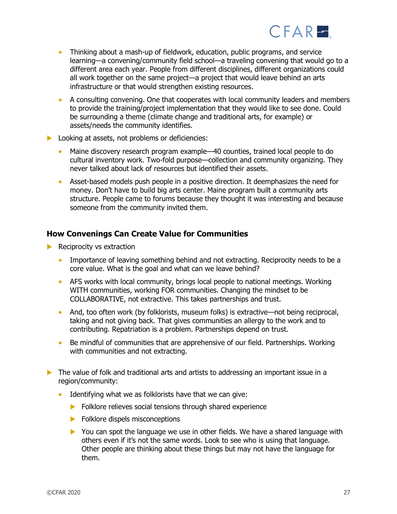

- Thinking about a mash-up of fieldwork, education, public programs, and service learning—a convening/community field school—a traveling convening that would go to a different area each year. People from different disciplines, different organizations could all work together on the same project—a project that would leave behind an arts infrastructure or that would strengthen existing resources.
- A consulting convening. One that cooperates with local community leaders and members to provide the training/project implementation that they would like to see done. Could be surrounding a theme (climate change and traditional arts, for example) or assets/needs the community identifies.
- **Looking at assets, not problems or deficiencies:** 
	- Maine discovery research program example—40 counties, trained local people to do cultural inventory work. Two-fold purpose—collection and community organizing. They never talked about lack of resources but identified their assets.
	- Asset-based models push people in a positive direction. It deemphasizes the need for money. Don't have to build big arts center. Maine program built a community arts structure. People came to forums because they thought it was interesting and because someone from the community invited them.

## **How Convenings Can Create Value for Communities**

- $\blacktriangleright$  Reciprocity vs extraction
	- Importance of leaving something behind and not extracting. Reciprocity needs to be a core value. What is the goal and what can we leave behind?
	- AFS works with local community, brings local people to national meetings. Working WITH communities, working FOR communities. Changing the mindset to be COLLABORATIVE, not extractive. This takes partnerships and trust.
	- And, too often work (by folklorists, museum folks) is extractive—not being reciprocal, taking and not giving back. That gives communities an allergy to the work and to contributing. Repatriation is a problem. Partnerships depend on trust.
	- Be mindful of communities that are apprehensive of our field. Partnerships. Working with communities and not extracting.
- The value of folk and traditional arts and artists to addressing an important issue in a region/community:
	- Identifying what we as folklorists have that we can give:
		- Folklore relieves social tensions through shared experience
		- Folklore dispels misconceptions
		- ▶ You can spot the language we use in other fields. We have a shared language with others even if it's not the same words. Look to see who is using that language. Other people are thinking about these things but may not have the language for them.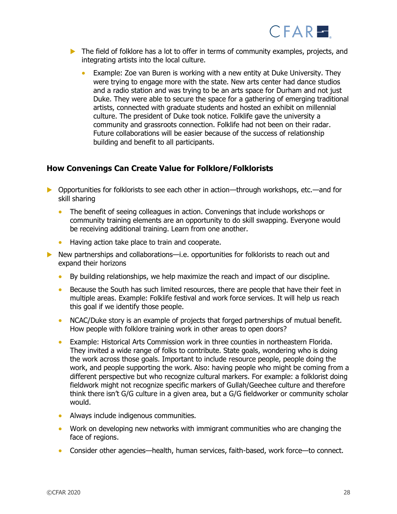

- $\triangleright$  The field of folklore has a lot to offer in terms of community examples, projects, and integrating artists into the local culture.
	- Example: Zoe van Buren is working with a new entity at Duke University. They were trying to engage more with the state. New arts center had dance studios and a radio station and was trying to be an arts space for Durham and not just Duke. They were able to secure the space for a gathering of emerging traditional artists, connected with graduate students and hosted an exhibit on millennial culture. The president of Duke took notice. Folklife gave the university a community and grassroots connection. Folklife had not been on their radar. Future collaborations will be easier because of the success of relationship building and benefit to all participants.

## **How Convenings Can Create Value for Folklore/Folklorists**

- ▶ Opportunities for folklorists to see each other in action—through workshops, etc.—and for skill sharing
	- The benefit of seeing colleagues in action. Convenings that include workshops or community training elements are an opportunity to do skill swapping. Everyone would be receiving additional training. Learn from one another.
	- Having action take place to train and cooperate.
- New partnerships and collaborations—i.e. opportunities for folklorists to reach out and expand their horizons
	- By building relationships, we help maximize the reach and impact of our discipline.
	- Because the South has such limited resources, there are people that have their feet in multiple areas. Example: Folklife festival and work force services. It will help us reach this goal if we identify those people.
	- NCAC/Duke story is an example of projects that forged partnerships of mutual benefit. How people with folklore training work in other areas to open doors?
	- Example: Historical Arts Commission work in three counties in northeastern Florida. They invited a wide range of folks to contribute. State goals, wondering who is doing the work across those goals. Important to include resource people, people doing the work, and people supporting the work. Also: having people who might be coming from a different perspective but who recognize cultural markers. For example: a folklorist doing fieldwork might not recognize specific markers of Gullah/Geechee culture and therefore think there isn't G/G culture in a given area, but a G/G fieldworker or community scholar would.
	- Always include indigenous communities.
	- Work on developing new networks with immigrant communities who are changing the face of regions.
	- Consider other agencies—health, human services, faith-based, work force—to connect.